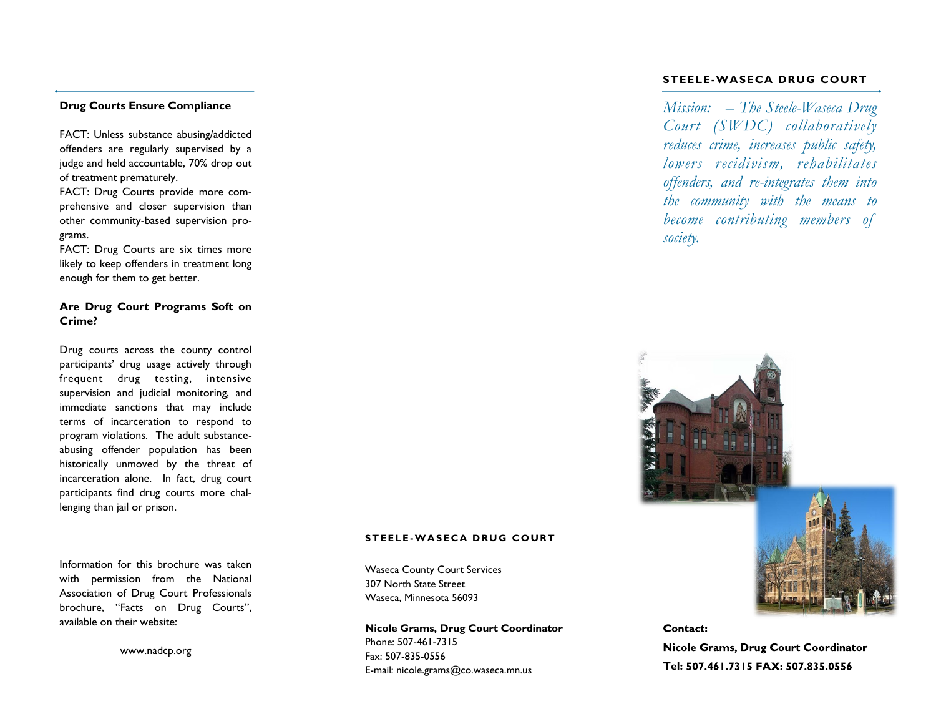#### **Drug Courts Ensure Compliance**

FACT: Unless substance abusing/addicted offenders are regularly supervised by a judge and held accountable, 70% drop out of treatment prematurely.

FACT: Drug Courts provide more comprehensive and closer supervision than other community-based supervision programs.

FACT: Drug Courts are six times more likely to keep offenders in treatment long enough for them to get better.

### **Are Drug Court Programs Soft on Crime?**

Drug courts across the county control participants' drug usage actively through frequent drug testing, intensive supervision and judicial monitoring, and immediate sanctions that may include terms of incarceration to respond to program violations. The adult substanceabusing offender population has been historically unmoved by the threat of incarceration alone. In fact, drug court participants find drug courts more challenging than jail or prison.

Information for this brochure was taken with permission from the National Association of Drug Court Professionals brochure, "Facts on Drug Courts", available on their website:

www.nadcp.org

#### **STEELE-WASECA DRUG COURT**

*Mission: – The Steele-Waseca Drug Court (SWDC) collaboratively reduces crime, increases public safety, lowers recidivism, rehabilitates offenders, and re-integrates them into the community with the means to become contributing members of society.*

#### Contact:

Nicole Grams, Drug Court Coordinator **Tel:** 

#### **S T E E L E -W A S E C A D R U G C O U R T**

Waseca County Court Services 307 North State Street Waseca, Minnesota 56093

**Nicole Grams, Drug Court Coordinator** Phone: 507-461-7315 Fax: 507-835-0556 E-mail: nicole.grams@co.waseca.mn.us